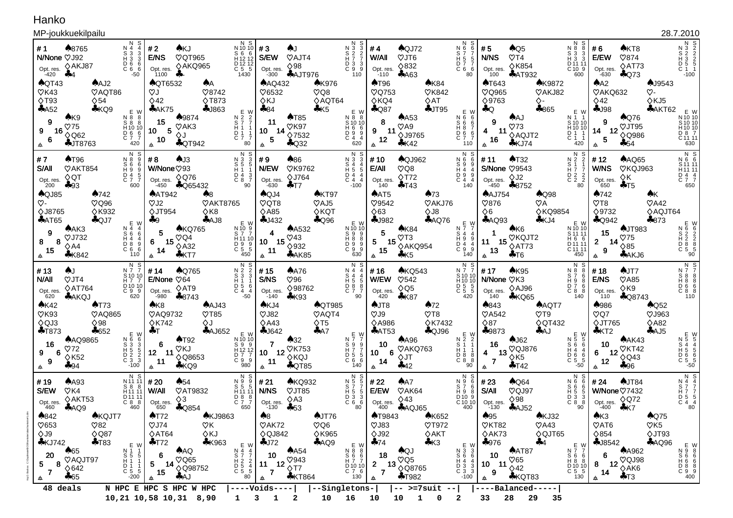## Hanko

## MP-joukkuekilpailu

| MP-joukkuekilpailu                                                                                                                                                                                                                   |                                                                                                                                                                                                                                                           |                                                                                                                                                                    |                                                                                                                                                                                                     |                                                                                                                    |                                                                                                                                                                                                |                                                                                                                                                                                                                      |                                                                                                                         |                                                                                                                                                         |                                                                                                                                                                                                                          |                                                                                                                                                                                                                                               |                                                                                                                                                                                                       |                                                                                                        |                                                                                                                                                                                                                  | 28.7.2010                                                                                                              |
|--------------------------------------------------------------------------------------------------------------------------------------------------------------------------------------------------------------------------------------|-----------------------------------------------------------------------------------------------------------------------------------------------------------------------------------------------------------------------------------------------------------|--------------------------------------------------------------------------------------------------------------------------------------------------------------------|-----------------------------------------------------------------------------------------------------------------------------------------------------------------------------------------------------|--------------------------------------------------------------------------------------------------------------------|------------------------------------------------------------------------------------------------------------------------------------------------------------------------------------------------|----------------------------------------------------------------------------------------------------------------------------------------------------------------------------------------------------------------------|-------------------------------------------------------------------------------------------------------------------------|---------------------------------------------------------------------------------------------------------------------------------------------------------|--------------------------------------------------------------------------------------------------------------------------------------------------------------------------------------------------------------------------|-----------------------------------------------------------------------------------------------------------------------------------------------------------------------------------------------------------------------------------------------|-------------------------------------------------------------------------------------------------------------------------------------------------------------------------------------------------------|--------------------------------------------------------------------------------------------------------|------------------------------------------------------------------------------------------------------------------------------------------------------------------------------------------------------------------|------------------------------------------------------------------------------------------------------------------------|
| ♠8765<br>#1<br>N/None VJ92<br>♦AKJ87<br>Opt. res.<br>$\clubsuit 4$<br>$-420$<br>$\bigwedge$ QT43<br>$\sqrt{6}$ K43<br>$\Diamond$ T93<br>A52<br>A K9<br>9<br>$\heartsuit$ 75<br>16<br>9<br>$\diamond$ Q62<br>6<br><b>AJT8763</b><br>佥 | N<br>N 4<br>$\begin{array}{c} 11 & 3 & 3 \\ 13 & 3 & 3 \\ 16 & 6 & 6 \\ 10 & 6 & 6 \end{array}$<br>$-50$<br>$A$ AJ2<br><b>VAQT86</b><br>$\Diamond$ 54<br>KQ9<br>E W<br>N 8 8<br>$S \times 8$<br>$H$ 10 10<br>$\frac{6}{7}$<br>$_{\rm C}^{\rm D}$ 6<br>420 | #2<br>AKJ<br>E/NS<br>Opt. res.<br>1100<br>♣.<br><b>AQT6532</b><br>VJ<br>$\diamond$ 42<br>$A$ AK75<br>$*9874$<br>15<br>$\heartsuit$ AK3<br>5<br>10<br>♦J<br>10<br>会 | N S<br>N 10 10<br>S 6 6<br>H 12 12<br>D 12 12<br>C 5 5<br>1430<br>VQT965<br>♦AKQ965<br><b>AA</b><br>♡8742<br><b>◇T873</b><br>$-1863$<br>N 2 2 7<br>S 7 7 1<br>H 1 1 1<br>D 1 1 7 7<br><b>AQT942</b> | #3<br>S/EW<br>Opt. res.<br>-300<br><b>AAQ432</b><br>V6532<br>♦KJ<br>$*84$<br>E W<br>11<br>14<br>10<br>5<br>80<br>₳ | AJ.<br>$\heartsuit$ AJT4<br>$\diamond$ 98<br><b>AAJT976</b><br><b>AK976</b><br>$\heartsuit$ Q8<br>$\diamond$ AQT64<br>$5$<br>AT85<br>$\heartsuit$ K97<br>$\Diamond$ 7532<br>$A$ Q32            | N S<br>$\begin{array}{c}\nN & 3 \\ S & 2 \\ H & 7\n\end{array}$<br>3<br>$\frac{2}{7}$<br>$\overline{C}$ $\overline{9}$<br>$\frac{3}{9}$<br>110<br>E W<br>N 8 8<br>S 10 10<br>H 6 6<br>D 9 9<br>C 4 4<br>C 4 2<br>620 | #4<br>W/All<br>Opt. res.<br>-110<br><b>AT96</b><br><b>VQ753</b><br>$\Diamond$ KQ4<br>$A$ Q87<br>8<br>9<br>11<br>12<br>₳ | $A$ QJ72<br>VJT6<br>$\diamond$ 832<br>A63<br>A K84<br><b>VK842</b><br>$\diamond$ AT<br>$+JT95$<br>$A$ A53<br>$\heartsuit$ A9<br><b>◇J9765</b><br>$*K42$ | N<br>N 6<br>$\overline{H}$ 5<br>D 7<br>C66<br>80<br>N 6 F<br>S 6 F<br>H 8<br>C 8 E<br>$\frac{D}{C}$ $\frac{6}{7}$<br>110                                                                                                 | #5<br>$\bigwedge$ Q5<br>N/NS<br>$\heartsuit$ T4<br><b>◇K854</b><br>Opt. res.<br>$A$ AT932<br>100<br><b>AT643</b><br>$\heartsuit$ Q965<br>♦9763<br>$\clubsuit$ Q<br><b>AAJ</b><br>9<br>$\heartsuit$ 73<br>11<br>4<br>◇AQJT2<br>16<br>KJ74<br>会 | N 8<br>S 3<br>-3<br>H 3<br>D 11 11<br>C 10 9<br>600<br><b>AK9872</b><br>VAKJ82<br>♦-<br>$*865$<br>E W<br>N 1 1<br>S 10 10<br>H 10 10<br>$\begin{smallmatrix} 0 & 1 \\ C & 1 \end{smallmatrix}$<br>420 | # 6<br>E/EW<br>Opt. res.<br>$-630$<br>$A^2$<br>VAKQ632<br>$\diamond$ 42<br>$-198$<br>9<br>14<br>5<br>会 | AKT8<br>$\heartsuit$ 874<br>$\diamond$ AT73<br>$A$ Q73<br><b>AJ9543</b><br>$\infty$ -<br><b>◇KJ5</b><br>AAKT62<br><b>AQ76</b><br>$12 \overset{\circ}{\chi} \overline{J} \overline{1}95$<br><b>◇Q986</b><br>$-54$ | N 3 2<br>S 2 2<br>S 4 3 2<br>D 5 5 1<br>C 1<br>-100<br>E W<br>N 10 10<br>S 10 10<br>H 10 10<br>D 8 7<br>C 11 11<br>630 |
| <b>AT96</b><br>#7<br>VAKT854<br>S/All<br>$\diamond$ QT<br>Opt. res.<br>$+93$<br>200                                                                                                                                                  | N S<br>N 8<br>$56$<br>H $9$<br>D 4 5<br>C 7 7<br>600                                                                                                                                                                                                      | #8<br>AJ3<br>W/None 793<br>$\Diamond$ Q76<br>Opt. res.<br>-450                                                                                                     | N S<br>N<br>S<br>H<br>D<br>A<br>C<br>8<br><b>AQ65432</b>                                                                                                                                            | #9<br>N/EW<br>Opt. res.<br>-630                                                                                    | ♠86<br><b>VK9762</b><br><b>◇J764</b><br>$+T7$                                                                                                                                                  | N S<br>$\begin{smallmatrix} N & 3 \\ S & 4 \end{smallmatrix}$<br>3<br>H 5 5<br>D 4 4<br>C 4 4<br>$-100$                                                                                                              | # 10<br>E/All<br>Opt. res.<br>140                                                                                       | <b>AQJ962</b><br>$\heartsuit$ Q8<br>$\Diamond$ T72<br>$+T43$                                                                                            | N<br>$\frac{N}{S}$ 6<br>$\overline{H}$ 4<br>$\begin{array}{ccc} D & 9 & 9 \\ C & 4 & 4 \end{array}$<br>140                                                                                                               | AT32<br># 11<br><b>S/None 79543</b><br>$\Diamond$ J2<br>Opt. res.<br>-450<br>$*8752$                                                                                                                                                          | N S<br>N 2<br>$\overline{H}$ 7<br>D 2 2<br>C 2 2<br>80                                                                                                                                                | # 12<br>W/NS<br>Opt. res.<br>650                                                                       | <b>AAQ65</b><br>VKQJ963<br>$\diamond$ K<br>$+T5$                                                                                                                                                                 | N S<br>N 6 6<br>S 11 11<br>H <sub>11</sub> 11<br>D 4 4<br>C 7 7<br>650                                                 |
| $\bigwedge$ QJ85<br>$\heartsuit$ -<br><b>◇J8765</b><br>$+A$ T65<br>AAK3<br>9<br>$\heartsuit$ J732<br>8<br>8<br>$\diamond$ A4<br>15<br>♣K842<br>会                                                                                     | A742<br>$\heartsuit$ Q96<br><b>◇K932</b><br>$A$ QJ7<br>E W<br>N 4<br>S <sub>6</sub><br>6<br>H 4<br>$\begin{smallmatrix} 0 & 8 \\ 0 & 6 \end{smallmatrix}$<br>9<br>$\overline{6}$<br>110                                                                   | AAT942<br>$\heartsuit$ J2<br>$\Diamond$ JT954<br>$+9$<br>5<br>$\heartsuit$ Q4<br>15<br>6<br>$\diamond$ A32<br>14<br>$*KT7$<br>会                                    | ♠8<br><b>VAKT8765</b><br>$\Diamond$ K8<br>$A$ AJ8<br>$R = W$<br>$N = 10$<br>$S = 7$<br>$S = 7$<br><b>AKQ765</b><br>H 11 10<br>$\begin{array}{ccc}\nD & 9 & 9 \\ C & 5 & 5\n\end{array}$             | $A$ QJ4<br>$\heartsuit$ QT8<br>$\Diamond$ A85<br>$-1432$<br>4<br>$-15$<br>10<br>11<br>450<br>₳                     | AKT97<br>$\heartsuit$ AJ5<br>$\Diamond$ KQT<br>$\clubsuit$ Q96<br><b>AA532</b><br>$\heartsuit$ 43<br>$\diamond$ 932<br>AAK85                                                                   | E W<br>N 10 10<br>S 9 8 8<br>H 8 9 9 9<br>C 8 30                                                                                                                                                                     | AAT5<br>♡9542<br>$\diamond$ 63<br>$-1982$<br>5<br>15<br>5.<br>15<br>会                                                   | $\clubsuit$ 73<br>VAKJ76<br>$\diamond$ J8<br><b>AAQ76</b><br>$A$ K84<br>$\heartsuit$ T3<br>◇AKQ954<br>♣К5                                               | $N \frac{E}{7}$ W<br>S <sub>4</sub><br>H 9<br>D 4<br>$\bar{C}$ 9<br>140                                                                                                                                                  | <b>AAJ754</b><br>$\heartsuit$ 876<br>$\Diamond 6$<br>AQQ93<br>AK6<br>VKQJT2<br>15<br>11<br>◇AT73<br>13<br>$+T6$<br>会                                                                                                                          | $\bigwedge$ Q98<br>$\heartsuit$ A<br><b>◇KQ9854</b><br>KJ4<br>E W<br>N 10 10<br>S 11 11<br>H 6 6<br>D <sub>11</sub> 11<br>C 11 11<br>450                                                              | ♠742<br>$\sqrt{78}$<br>$\Diamond$ 9732<br>$A$ Q942<br>15<br>-14<br>$\mathbf{2}$<br>9<br>会              | ♠Κ<br>$\heartsuit$ A42<br>◇AQJT64<br>\$873<br><b>AJT983</b><br>$\sqrt{75}$<br>$\Diamond 85$<br>$A$ AKJ6                                                                                                          |                                                                                                                        |
| #13<br>AJ.<br>$\heartsuit$ JT4<br>N/All<br>$\diamond$ AT764<br>Opt. res.<br>$A$ AKQJ<br>620                                                                                                                                          | N S<br>N 7<br>S 10 10<br>H 7<br>D 10 10<br>C 9 9<br>620                                                                                                                                                                                                   | <b>AQ765</b><br># 14<br>E/None $\heartsuit$ 64<br>$\diamond$ AT9<br>Opt. res.<br>-980<br>$\clubsuit$ 8743                                                          | $\begin{array}{cc} N & S \\ 2 & 2 \end{array}$<br>N 2<br>$S1$ 3<br>D 5<br>$C_4$                                                                                                                     | #15<br>S/NS<br>Opt. res.<br>$-140$                                                                                 | $A$ A76<br>$\heartsuit$ 96<br>♦98762<br>$*K93$                                                                                                                                                 | $N4$ $N5$<br>$544$<br>$H55$<br>$D88$<br>$C7$<br>90                                                                                                                                                                   | #16<br>W/EW<br>Opt. res.<br>420                                                                                         | <b>AKQ543</b><br>$\heartsuit$ 542<br>$\diamond$ Q5<br>$*K87$                                                                                            | N <sup>N</sup><br>S 10<br>H <sub>10</sub> 10<br>D 5 5<br>C 5 5<br>420                                                                                                                                                    | # 17<br>$A$ K95<br>N/None ♡K3<br>♦AJ96<br>Opt. res.<br>140<br>$*KQ65$                                                                                                                                                                         | N S<br>N 8<br>8<br>S 7<br>H 9<br>୍ଯ<br>D 7<br>$C_8$<br>140                                                                                                                                            | #18<br>E/NS<br>Opt. res.<br>110                                                                        | <b>AJT7</b><br>$\heartsuit$ A85<br>$\diamond$ K9<br>$\clubsuit$ Q8743                                                                                                                                            | N S<br>N 7 7<br>110                                                                                                    |
| A K42<br>$\heartsuit$ K93<br>$\diamond$ QJ3<br>$+T873$<br><b>AAQ9865</b><br>16<br>$\heartsuit$ 72<br>6<br>9<br>$\Diamond$ K52<br>9<br>♣94<br>佥                                                                                       | AT73<br><b>VAQ865</b><br>$\Diamond$ 98<br>$*652$<br>$\begin{array}{c}\nN \\ N \\ S\n\end{array}$<br>H <sub>5</sub><br>$\frac{5}{3}$<br>$\begin{smallmatrix} 0 & 2 \\ C & 3 \end{smallmatrix}$<br>$-100$                                                   | A K8<br><b>VAQ9732</b><br><b>◇K742</b><br>♣⊺<br>$\triangle$ T92<br>6<br><b>QKJ</b><br>12 <sub>2</sub><br>-11<br>11<br>$*KQ9$<br>ᇫ                                  | $A$ AJ43<br>$\sqrt{785}$<br>♦J<br><b>AAJ652</b><br>N 10 10<br>S 9 9<br>H <sub>12</sub><br>D <sub>7</sub><br>C <sub>9</sub> 9<br><b>◇Q8653</b>                                                       | AKJ4<br>$\heartsuit$ J82<br>$\diamond$ A43<br>$-1642$<br>E W<br>7<br>10<br>11<br>980<br>₳                          | <b>AQT985</b><br>VAQT4<br>$\Diamond$ T5<br>A7<br>$\clubsuit$ 32<br>$12 \overset{\sqrt{1}}{\underset{\wedge}{\wedge}} \overset{\times}{\phantom{0}}$<br>$\Diamond$ KQJ<br>$\bigtriangleup$ QT85 | E<br>NS 9<br>H 5<br>L 5<br>L 6<br>6<br>140<br>C 9<br>140<br>9<br>$\frac{5}{6}$                                                                                                                                       | $A$ JT8<br>$OJ\delta$<br><b>◇A986</b><br>AAT53<br>10<br>6<br>10<br>14<br>奉                                              | A72<br>$\heartsuit$ T8<br><b>◇K7432</b><br><b>AQJ96</b><br>A496<br>VAKQ763<br>$\diamond$ JT<br>♣42                                                      | $\begin{array}{c} \mathsf{R} \\ \mathsf{N} \\ \mathsf{S} \end{array} \begin{array}{c} \mathsf{E} \\ \mathsf{2} \\ \mathsf{1} \end{array}$<br>$H_1$<br>$\begin{smallmatrix} 0 & 8 \\ C & 8 \end{smallmatrix}$<br>-8<br>90 | ♠843<br><b>VA542</b><br>$\diamond$ 87<br>$*9873$<br>$A$ J62<br>16<br>VQJ876<br>13<br>4<br>$\Diamond$ K5<br>$\overline{7}$<br>$+T42$<br>厽                                                                                                      | <b>AAQT7</b><br>$\heartsuit$ T9<br><b>◇ QT432</b><br><b>AAJ</b><br>N 5 W<br>6<br>S 6<br>H 4<br>-4<br>$\begin{array}{ccc} 0 & 6 & 6 \\ 0 & 5 & 5 \\ -50 & & & \end{array}$                             | ♦986<br>$\heartsuit$ Q7<br><b>◇JT765</b><br>$*KT2$<br>10<br>12<br>6<br>12<br>₳                         | $\bigwedge$ Q52<br>$\heartsuit$ J963<br>$\diamond$ A82<br>$A$ AJ5<br>AAK43<br>VKT42<br>$\diamond$ Q43<br>♣96                                                                                                     | E W<br>N 5 5 4<br>S 4 5 5 6<br>H 5 6 5 5<br>C 5<br>-50                                                                 |
| #19<br>A493<br>S/EW<br>$\sqrt{6}$ K4<br>$\diamond$ AKT53<br>Opt. res.<br>460<br>AQQ9<br>$*842$                                                                                                                                       | N S<br>N 11 11<br>S 8 8<br>H <sub>11</sub> 11<br>D 11 11<br>C 8 8<br>460<br><b>AKQJT7</b>                                                                                                                                                                 | #20<br>$\clubsuit 54$<br>W/All<br>$\Diamond$ 3<br>Opt. res.<br>650<br>$\clubsuit$ Q854<br>AT72                                                                     | $\begin{array}{c} N & S \\ 9 & 9 \end{array}$<br>N 9<br>$\begin{array}{c} 8 & 5 & 5 \\ 1 & 11 & 11 \end{array}$<br><b>VAT9832</b><br>D 8 8<br>C 7 7<br>650<br><b>AKJ9863</b>                        | # 21<br><b>N/NS</b><br>Opt. res.<br>$-130$<br>A8                                                                   | <b>AKQ932</b><br>VJT85<br>$\diamond$ A3<br>$+53$<br>$\bigtriangleup$ JT76                                                                                                                      | $\begin{array}{c}\n\overline{N}\\ \overline{N}\\ \overline{S}\\ \overline{S}\\ \overline{S}\n\end{array}$<br>5<br>-5<br>$\begin{smallmatrix} 0 & 3 & 3 \\ C & 6 & 6 \end{smallmatrix}$<br>80                         | # 22<br>E/EW<br>Opt. res.<br>400<br><b>AT9843</b>                                                                       | $A^A$<br>VAK64<br>$\diamond$ 43<br>$A\rightarrow$ AQJ65<br><b>AK652</b>                                                                                 | N<br>N 9<br>S 7<br>H 9<br>D <sub>10</sub> 9<br>$\frac{0.10}{400}$                                                                                                                                                        | #23<br>$\bigwedge$ Q64<br>S/All<br>VQJ97<br>$\diamond$ 98<br>Opt. res.<br>$-130$<br>$A$ AJ52<br>$\clubsuit 95$                                                                                                                                | N<br>N 6<br>-6<br>S <sub>6</sub><br>H 5<br>-5<br>D 3 3<br>C 8 8<br>90<br>AKJ32                                                                                                                        | # 24<br>W/None 77432<br>Opt. res.<br>-400<br>A K3                                                      | $\bigwedge$ JT84<br>$\Diamond$ Q72<br>$\frac{1}{2}$ K7<br>$A$ Q75                                                                                                                                                | N S<br>N 4 4<br>S 7 7<br>H 7 7<br>D 5 5<br>C 4 4<br>80                                                                 |
| $\heartsuit$ 653<br>$\diamond$ J9<br>KJ742<br>$\clubsuit 65$<br>20<br>VAQJT97<br>8<br>5<br>$\diamond$ 642<br>$\overline{7}$<br>$+65$<br>₳<br>48 deals                                                                                | $\heartsuit$ 82<br>$\diamond$ Q87<br>$+T83$<br>E W<br>N 1 1<br>S 5 1 1 1<br>H D 1 1 5 5<br>C 5 300<br>$-200$                                                                                                                                              | $\heartsuit$ J74<br>$\diamond$ AT64<br>$+T72$<br>AAQ<br>6<br>$\heartsuit$ Q65<br>5<br>14<br>15<br>A<br>₳                                                           | ØΚ<br>$\diamond$ KJ<br>$*K963$<br>E W<br>N 4 4<br>S 7 2<br>H 2 2<br>D 5 4<br>D 5 5<br>80<br>◇Q98752                                                                                                 | $\heartsuit$ AK72<br>$\Diamond$ QJ842<br>4J72<br>10<br>11<br>$\overline{7}$<br>₳                                   | $\heartsuit$ Q6<br><b>◇K965</b><br>AQQ9<br>$A$ A54<br>$\heartsuit$ 943<br>$12\frac{C}{\sqrt{17}}$<br><b>*KT864</b>                                                                             | E W<br>N 8 8<br>S 6 6<br>H 7 7<br>D 10 10<br>D 10 10<br>C 7 6<br>130                                                                                                                                                 | $\heartsuit$ J83<br>$\Diamond$ J92<br>$+74$<br>18<br>$\mathbf{2}$<br>13<br>$\overline{7}$<br>₳                          | VT972<br>$\diamond$ AKT<br>$*K3$<br><b>AQJ</b><br>$\heartsuit$ Q5<br><b>◇Q8765</b><br><b>+T982</b><br>$--$ >=7suit --                                   | $\begin{array}{c} E W \\ N 3 \\ S 6 \\ \vdots \\ 4 \end{array}$<br>$\overline{P}$ $\overline{3}$<br>C $\overline{3}$<br>3<br>3<br>$-100$                                                                                 | VKT82<br>$\diamond$ AK73<br>$*976$<br>AAT87<br>10<br>$\heartsuit$ 65<br>10 <sub>1</sub><br>$-11$<br>$\diamond$ 42<br>9<br><b>*KQT83</b><br>₳                                                                                                  | $\heartsuit$ A43<br>◇QJT65<br>$+4$<br>130                                                                                                                                                             | $\heartsuit$ AT6<br>$\Diamond$ 854<br>$-18542$<br>6<br>8<br>14<br>₳                                    | $\heartsuit$ K5<br>♦JT93<br>AQQ96<br><b>AA962</b><br>$\int_{4}^{12}$ $\frac{12}{2}$ $\frac{12}{2}$ AK6<br>$+T3$                                                                                                  |                                                                                                                        |
| N HPC E HPC S HPC W HPC<br>----Voids----<br>--Singletons-<br>$---Balanced---$<br>28<br>10,21 10,58 10,31 8,90<br>10 16 10<br>10<br>33<br>29<br>35<br>3<br>1<br>0<br>2                                                                |                                                                                                                                                                                                                                                           |                                                                                                                                                                    |                                                                                                                                                                                                     |                                                                                                                    |                                                                                                                                                                                                |                                                                                                                                                                                                                      |                                                                                                                         |                                                                                                                                                         |                                                                                                                                                                                                                          |                                                                                                                                                                                                                                               |                                                                                                                                                                                                       |                                                                                                        |                                                                                                                                                                                                                  |                                                                                                                        |